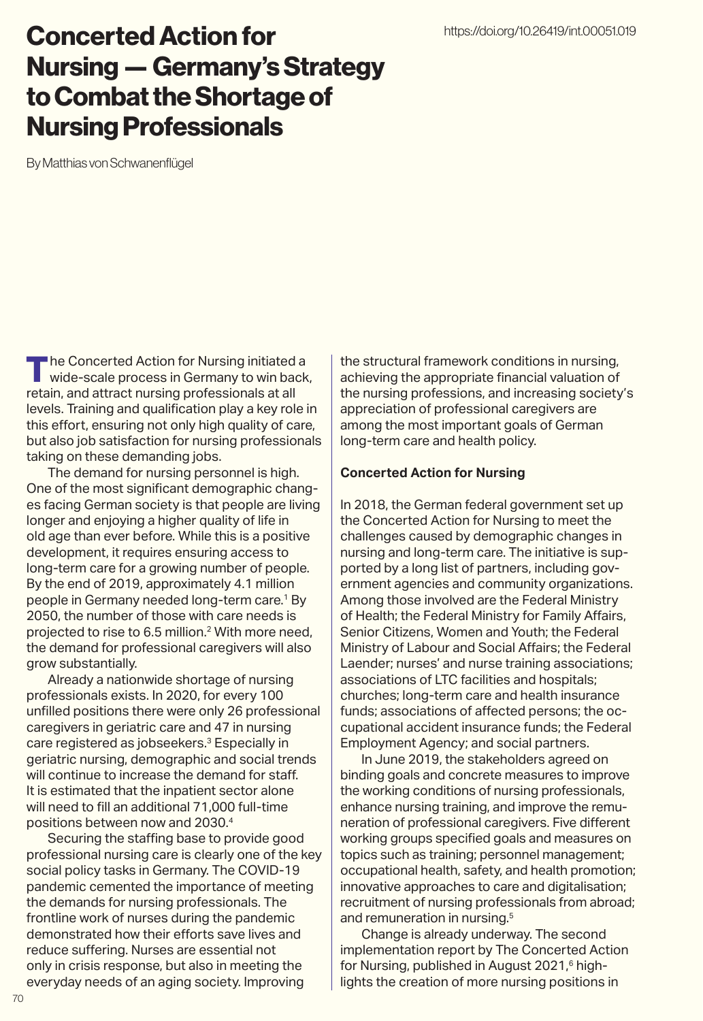# Concerted Action for Nursing — Germany's Strategy to Combat the Shortage of Nursing Professionals

By Matthias von Schwanenflügel

**The Concerted Action for Nursing initiated a** wide-scale process in Germany to win back, retain, and attract nursing professionals at all levels. Training and qualification play a key role in this effort, ensuring not only high quality of care, but also job satisfaction for nursing professionals taking on these demanding jobs.

The demand for nursing personnel is high. One of the most significant demographic changes facing German society is that people are living longer and enjoying a higher quality of life in old age than ever before. While this is a positive development, it requires ensuring access to long-term care for a growing number of people. By the end of 2019, approximately 4.1 million people in Germany needed long-term care.<sup>1</sup> By 2050, the number of those with care needs is projected to rise to 6.5 million.<sup>2</sup> With more need, the demand for professional caregivers will also grow substantially.

Already a nationwide shortage of nursing professionals exists. In 2020, for every 100 unfilled positions there were only 26 professional caregivers in geriatric care and 47 in nursing care registered as jobseekers.3 Especially in geriatric nursing, demographic and social trends will continue to increase the demand for staff. It is estimated that the inpatient sector alone will need to fill an additional 71,000 full-time positions between now and 2030.4

Securing the staffing base to provide good professional nursing care is clearly one of the key social policy tasks in Germany. The COVID-19 pandemic cemented the importance of meeting the demands for nursing professionals. The frontline work of nurses during the pandemic demonstrated how their efforts save lives and reduce suffering. Nurses are essential not only in crisis response, but also in meeting the everyday needs of an aging society. Improving

the structural framework conditions in nursing, achieving the appropriate financial valuation of the nursing professions, and increasing society's appreciation of professional caregivers are among the most important goals of German long-term care and health policy.

### **Concerted Action for Nursing**

In 2018, the German federal government set up the Concerted Action for Nursing to meet the challenges caused by demographic changes in nursing and long-term care. The initiative is supported by a long list of partners, including government agencies and community organizations. Among those involved are the Federal Ministry of Health; the Federal Ministry for Family Affairs, Senior Citizens, Women and Youth; the Federal Ministry of Labour and Social Affairs; the Federal Laender; nurses' and nurse training associations; associations of LTC facilities and hospitals; churches; long-term care and health insurance funds; associations of affected persons; the occupational accident insurance funds; the Federal Employment Agency; and social partners.

In June 2019, the stakeholders agreed on binding goals and concrete measures to improve the working conditions of nursing professionals, enhance nursing training, and improve the remuneration of professional caregivers. Five different working groups specified goals and measures on topics such as training; personnel management; occupational health, safety, and health promotion; innovative approaches to care and digitalisation; recruitment of nursing professionals from abroad; and remuneration in nursing.5

Change is already underway. The second implementation report by The Concerted Action for Nursing, published in August 2021,<sup>6</sup> highlights the creation of more nursing positions in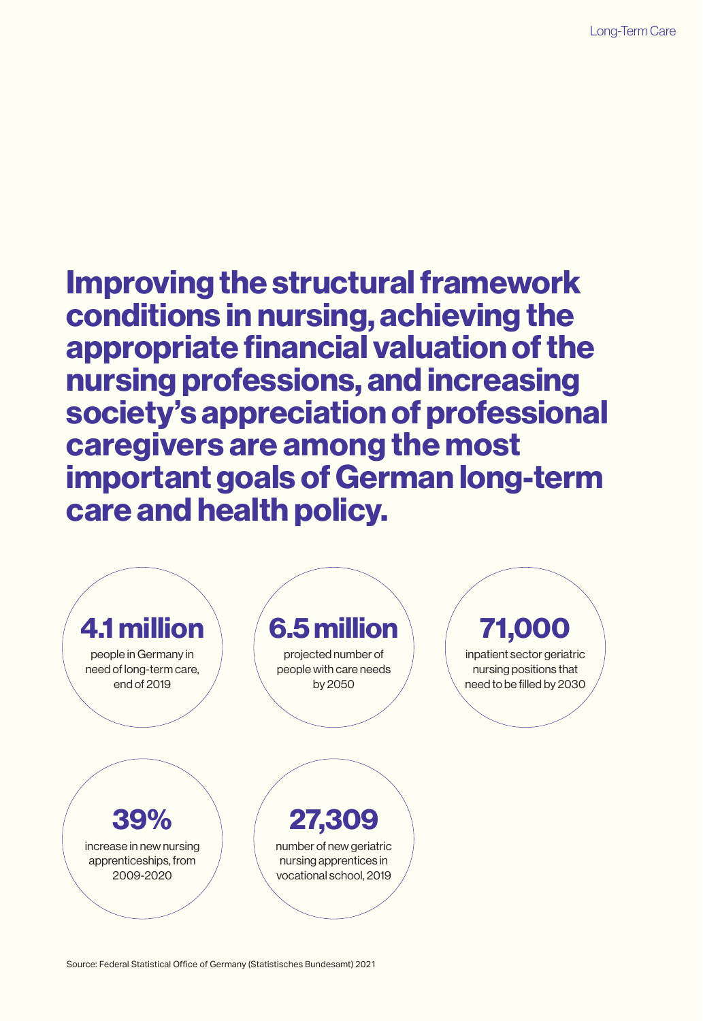Improving the structural framework conditions in nursing, achieving the appropriate financial valuation of the nursing professions, and increasing society's appreciation of professional caregivers are among the most important goals of German long-term care and health policy.



Source: Federal Statistical Office of Germany (Statistisches Bundesamt) 2021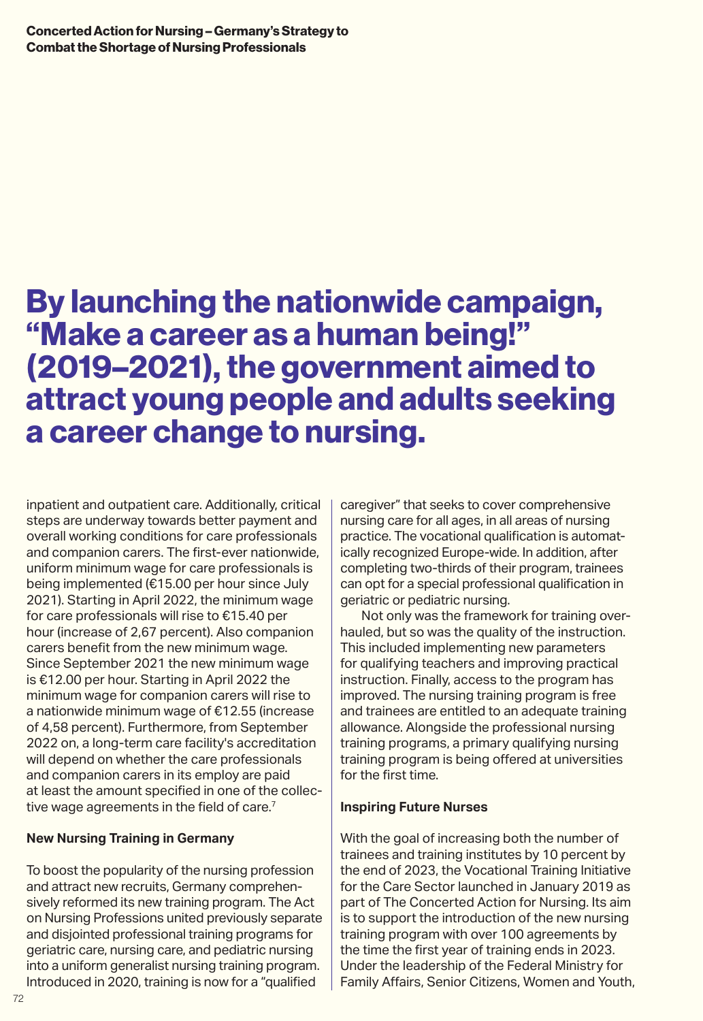# By launching the nationwide campaign, "Make a career as a human being!" (2019–2021), the government aimed to attract young people and adults seeking a career change to nursing.

inpatient and outpatient care. Additionally, critical steps are underway towards better payment and overall working conditions for care professionals and companion carers. The first-ever nationwide, uniform minimum wage for care professionals is being implemented (€15.00 per hour since July 2021). Starting in April 2022, the minimum wage for care professionals will rise to €15.40 per hour (increase of 2,67 percent). Also companion carers benefit from the new minimum wage. Since September 2021 the new minimum wage is €12.00 per hour. Starting in April 2022 the minimum wage for companion carers will rise to a nationwide minimum wage of €12.55 (increase of 4,58 percent). Furthermore, from September 2022 on, a long-term care facility's accreditation will depend on whether the care professionals and companion carers in its employ are paid at least the amount specified in one of the collective wage agreements in the field of care.<sup>7</sup>

# **New Nursing Training in Germany**

To boost the popularity of the nursing profession and attract new recruits, Germany comprehensively reformed its new training program. The Act on Nursing Professions united previously separate and disjointed professional training programs for geriatric care, nursing care, and pediatric nursing into a uniform generalist nursing training program. Introduced in 2020, training is now for a "qualified

caregiver" that seeks to cover comprehensive nursing care for all ages, in all areas of nursing practice. The vocational qualification is automatically recognized Europe-wide. In addition, after completing two-thirds of their program, trainees can opt for a special professional qualification in geriatric or pediatric nursing.

Not only was the framework for training overhauled, but so was the quality of the instruction. This included implementing new parameters for qualifying teachers and improving practical instruction. Finally, access to the program has improved. The nursing training program is free and trainees are entitled to an adequate training allowance. Alongside the professional nursing training programs, a primary qualifying nursing training program is being offered at universities for the first time.

## **Inspiring Future Nurses**

With the goal of increasing both the number of trainees and training institutes by 10 percent by the end of 2023, the Vocational Training Initiative for the Care Sector launched in January 2019 as part of The Concerted Action for Nursing. Its aim is to support the introduction of the new nursing training program with over 100 agreements by the time the first year of training ends in 2023. Under the leadership of the Federal Ministry for Family Affairs, Senior Citizens, Women and Youth,